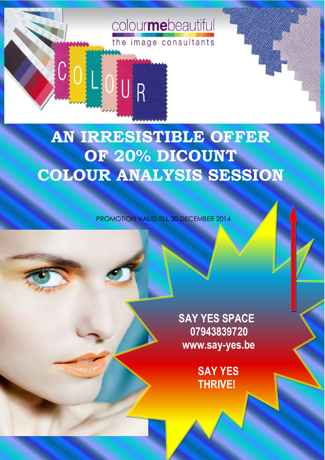**AN IRRESISTIBLE OFFER OF 20% DICOUNT COLOUR ANALYSIS SESSION**

colourmebeautiful

the image consultants

COLOUR

PROMOTION VALID TILL 30 DECEMBER 2014

**SAY YES SPACE 07943839720 www.say-yes.be** 

> **SAY YES THRIVE!**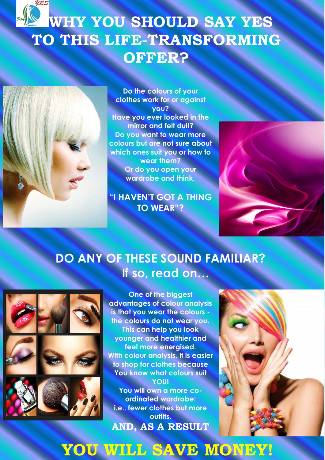## **WHY YOU SHOULD SAY YES TO THIS LIFE-TRANSFORMING OFFER?**



**Do the colours of your clothes work for or against you? Have you ever looked in the mirror and felt dull? Do you want to wear more colours but are not sure about which ones suit you or how to wear them? Or do you open your wardrobe and think,**

**"I HAVEN'T GOT A THING TO WEAR"?**



#### **DO ANY OF THESE SOUND FAMILIAR? If so, read on…**



**One of the biggest advantages of colour analysis is that you wear the colours the colours do not wear you. This can help you look younger and healthier and feel more energised. With colour analysis, it is easier to shop for clothes because You know what colours suit YOU! You will own a more coordinated wardrobe: i.e., fewer clothes but more outfits. AND, AS A RESULT**



### **YOU WILL SAVE MONEY!**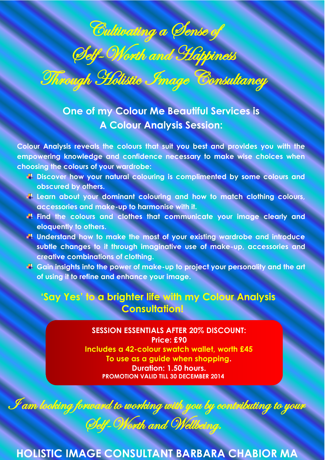# Cultivating a Sense of Self-Worth and Happiness **Through Holistic Image Consultancy**

**One of my Colour Me Beautiful Services is A Colour Analysis Session:**

**Colour Analysis reveals the colours that suit you best and provides you with the empowering knowledge and confidence necessary to make wise choices when choosing the colours of your wardrobe:**

- **E** Discover how your natural colouring is complimented by some colours and **obscured by others.**
- **Learn about your dominant colouring and how to match clothing colours, accessories and make-up to harmonise with it.**
- **Find the colours and clothes that communicate your image clearly and eloquently to others.**
- **Understand how to make the most of your existing wardrobe and introduce subtle changes to it through imaginative use of make-up, accessories and creative combinations of clothing.**
- **Gain insights into the power of make-up to project your personality and the art of using it to refine and enhance your image.**

#### **'Say Yes' to a brighter life with my Colour Analysis Consultation!**

s<br>d: **SESSION ESSENTIALS AFTER 20% DISCOUNT: Price: £90 Includes a 42-colour swatch wallet, worth £45 To use as a guide when shopping. Duration: 1.50 hours. PROMOTION VALID TILL 30 DECEMBER 2014**

**HOLISTIC IMAGE CONSULTANT BARBARA CHABIOR MA**

I am looking forward to working with you by contributing to your

Self-Worth and Wellbeing.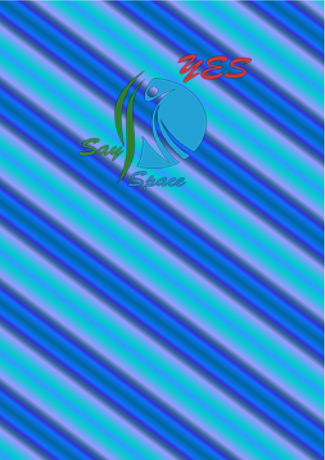